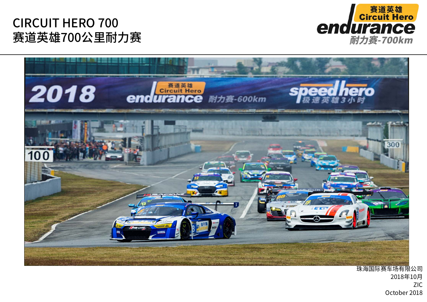



珠海国际赛车场有限公司 2018年10月  $ZIC$ October 2018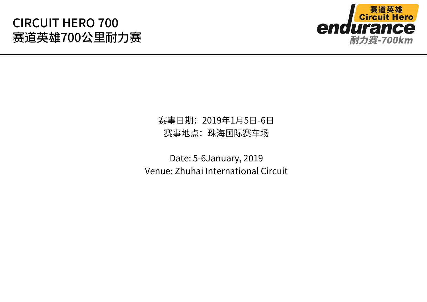

### 赛事日期: 2019年1月5日-6日 赛事地点: 珠海国际赛车场

Date: 5-6January, 2019 Venue: Zhuhai International Circuit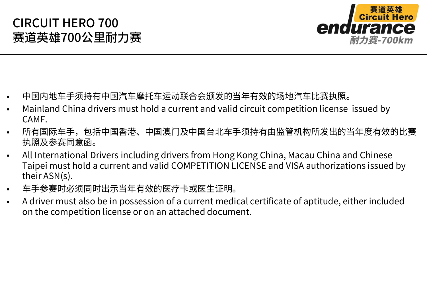

- ⒩中国内地车手须持有中国汽车摩托车运动联合会颁发的当年有效的场地汽车比赛执照。
- ⒩Mainland China drivers must hold a current and valid circuit competition license issued by CAMF.
- ⒩所有国际车手,包括中国香港、中国澳门及中国台北车手须持有由监管机构所发出的当年度有效的比赛 执照及参赛同意函。
- ⒩ All International Drivers including drivers from Hong Kong China, Macau China and Chinese Taipei must hold a current and valid COMPETITION LICENSE and VISA authorizations issued by their ASN(s).
- ⒩车手参赛时必须同时出示当年有效的医疗卡或医生证明。
- ⒩ A driver must also be in possession of a current medical certificate of aptitude, either included on the competition license or on an attached document.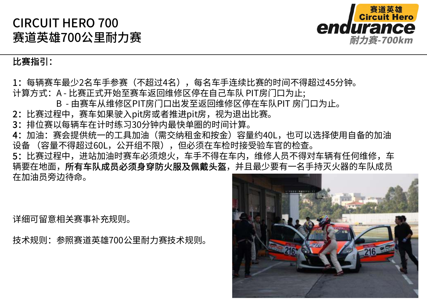

#### 比赛指引:

1: 每辆赛车最少2名车手参赛(不超过4名),每名车手连续比赛的时间不得超过45分钟。 计算方式: A - 比赛正式开始至赛车返回维修区停在自己车队 PIT房门口为止; B - 由赛车从维修区PIT房门口出发至返回维修区停在车队PIT 房门口为止。 2: 比赛过程中, 赛车如果驶入pit房或者推进pit房, 视为退出比赛。 3: 排位赛以每辆车在计时练习30分钟内最快单圈的时间计算。 4: 加油: 赛会提供统一的工具加油(需交纳租金和按金)容量约40L,也可以选择使用自备的加油 设备 (容量不得超过60L, 公开组不限), 但必须在车检时接受验车官的检查。 5:比赛过程中,进站加油时赛车必须熄火,车手不得在车内,维修人员不得对车辆有任何维修,车 辆要在地面,所有车队成员必须身穿防火服及佩戴头盔,并且最少要有一名手持灭火器的车队成员 在加油品旁边待命。

详细可留意相关赛事补充规则。

技术规则: 参照赛道英雄700公里耐力赛技术规则。

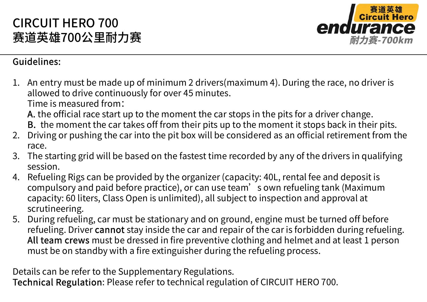

#### **Guidelines:**

1. An entry must be made up of minimum 2 drivers (maximum 4). During the race, no driver is allowed to drive continuously for over 45 minutes.

Time is measured from:

A. the official race start up to the moment the car stops in the pits for a driver change.

- B. the moment the car takes off from their pits up to the moment it stops back in their pits.
- Driving or pushing the car into the pit box will be considered as an official retirement from the 2. race.
- The starting grid will be based on the fastest time recorded by any of the drivers in qualifying  $3.$ session
- 4. Refueling Rigs can be provided by the organizer (capacity: 40L, rental fee and deposit is compulsory and paid before practice), or can use team's own refueling tank (Maximum capacity: 60 liters, Class Open is unlimited), all subject to inspection and approval at scrutineering.
- 5. During refueling, car must be stationary and on ground, engine must be turned off before refueling. Driver cannot stay inside the car and repair of the car is forbidden during refueling. All team crews must be dressed in fire preventive clothing and helmet and at least 1 person must be on standby with a fire extinguisher during the refueling process.

Details can be refer to the Supplementary Regulations.

Technical Regulation: Please refer to technical regulation of CIRCUIT HERO 700.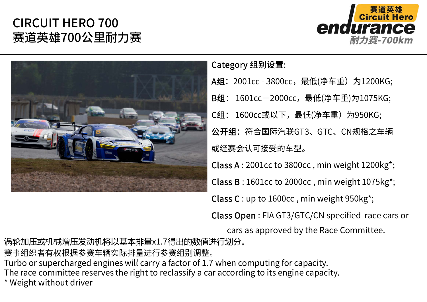



#### Category 组别设置:

A组: 2001cc - 3800cc, 最低(净车重) 为1200KG; B组: 1601cc-2000cc, 最低(净车重)为1075KG; **C组**: 1600cc或以下,最低(净车重)为950KG; 公开组: 符合国际汽联GT3、GTC、CN规格之车辆 或经赛会认可接受的车型。

Class A : 2001cc to 3800cc , min weight 1200kg\*;

Class B : 1601cc to 2000cc , min weight 1075kg\*;

Class C : up to 1600cc , min weight 950kg\*;

Class Open : FIA GT3/GTC/CN specified race cars or

cars as approved by the Race Committee.

涡轮加压或机械增压发动机将以基本排量x1.7得出的数值进行划分。

赛事组织者有权根据参赛车辆实际排量进行参赛组别调整。

Turbo or supercharged engines will carry a factor of 1.7 when computing for capacity.

The race committee reserves the right to reclassify a car according to its engine capacity.

\* Weight without driver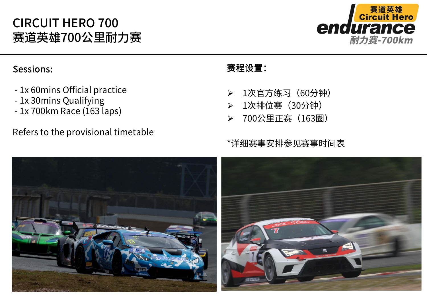

#### Sessions:

- 1x 60mins Official practice
- 1x 30mins Qualifying
- 1x 700km Race (163 laps) 1蕾硓呕饋30夑ꛦ

#### Refers to the provisional timetable

#### 赛程设置:

- $\blacktriangleright$ 1次官方练习 (60分钟)
- $\blacktriangleright$
- $\blacktriangleright$ 700公里正赛 (163圈)

#### \*详细赛事安排参见赛事时间表

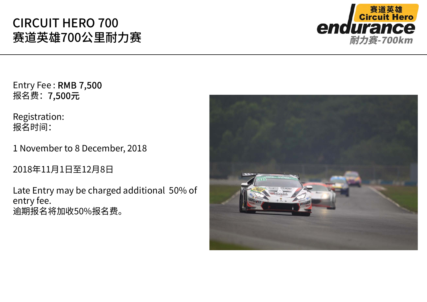

Entry Fee : RMB 7,500 报名费: 7,500元

Registration: 报名时间:

1 November to 8 December, 2018

2018年11月1日至12月8日

Late Entry may be charged additional 50% of entry fee. 逾期报名将加收50%报名费。